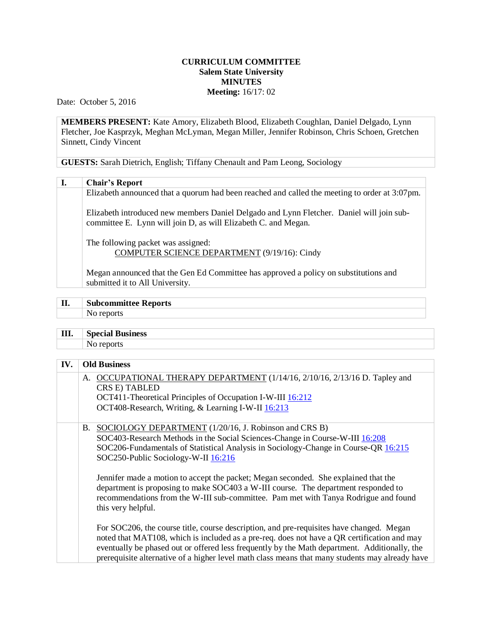## **CURRICULUM COMMITTEE Salem State University MINUTES Meeting:** 16/17: 02

Date: October 5, 2016

**MEMBERS PRESENT:** Kate Amory, Elizabeth Blood, Elizabeth Coughlan, Daniel Delgado, Lynn Fletcher, Joe Kasprzyk, Meghan McLyman, Megan Miller, Jennifer Robinson, Chris Schoen, Gretchen Sinnett, Cindy Vincent

**GUESTS:** Sarah Dietrich, English; Tiffany Chenault and Pam Leong, Sociology

## **I. Chair's Report**

Elizabeth announced that a quorum had been reached and called the meeting to order at 3:07pm.

Elizabeth introduced new members Daniel Delgado and Lynn Fletcher. Daniel will join subcommittee E. Lynn will join D, as will Elizabeth C. and Megan.

The following packet was assigned: COMPUTER SCIENCE DEPARTMENT (9/19/16): Cindy

Megan announced that the Gen Ed Committee has approved a policy on substitutions and submitted it to All University.

| $\mathbf{I}$ | <b>Subcommittee Reports</b> |  |
|--------------|-----------------------------|--|
|              |                             |  |

**III. Special Business** No reports

| IV. | <b>Old Business</b>                                                                                                                                                                                                                                                                                                                                                                         |  |  |
|-----|---------------------------------------------------------------------------------------------------------------------------------------------------------------------------------------------------------------------------------------------------------------------------------------------------------------------------------------------------------------------------------------------|--|--|
|     | A. OCCUPATIONAL THERAPY DEPARTMENT (1/14/16, 2/10/16, 2/13/16 D. Tapley and<br>CRS E) TABLED<br>OCT411-Theoretical Principles of Occupation I-W-III 16:212<br>OCT408-Research, Writing, & Learning I-W-II 16:213                                                                                                                                                                            |  |  |
|     | B. SOCIOLOGY DEPARTMENT (1/20/16, J. Robinson and CRS B)<br>SOC403-Research Methods in the Social Sciences-Change in Course-W-III 16:208<br>SOC206-Fundamentals of Statistical Analysis in Sociology-Change in Course-QR 16:215<br>SOC250-Public Sociology-W-II 16:216                                                                                                                      |  |  |
|     | Jennifer made a motion to accept the packet; Megan seconded. She explained that the<br>department is proposing to make SOC403 a W-III course. The department responded to<br>recommendations from the W-III sub-committee. Pam met with Tanya Rodrigue and found<br>this very helpful.                                                                                                      |  |  |
|     | For SOC206, the course title, course description, and pre-requisites have changed. Megan<br>noted that MAT108, which is included as a pre-req. does not have a QR certification and may<br>eventually be phased out or offered less frequently by the Math department. Additionally, the<br>prerequisite alternative of a higher level math class means that many students may already have |  |  |